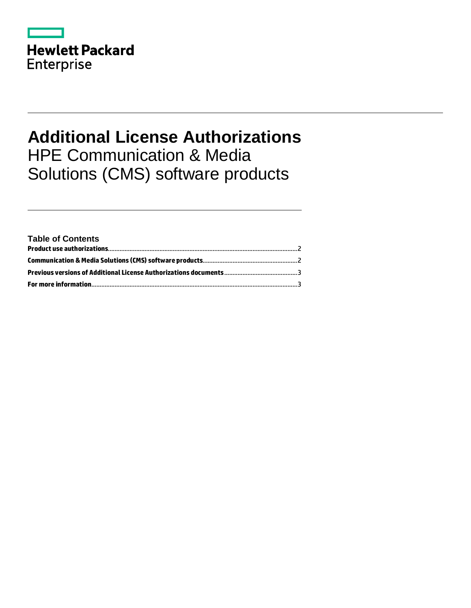|                   | <b>Hewlett Packard</b> |
|-------------------|------------------------|
| <b>Enterprise</b> |                        |

## **Additional License Authorizations** HPE Communication & Media Solutions (CMS) software products

| <b>Table of Contents</b> |  |
|--------------------------|--|
|                          |  |
|                          |  |
|                          |  |
|                          |  |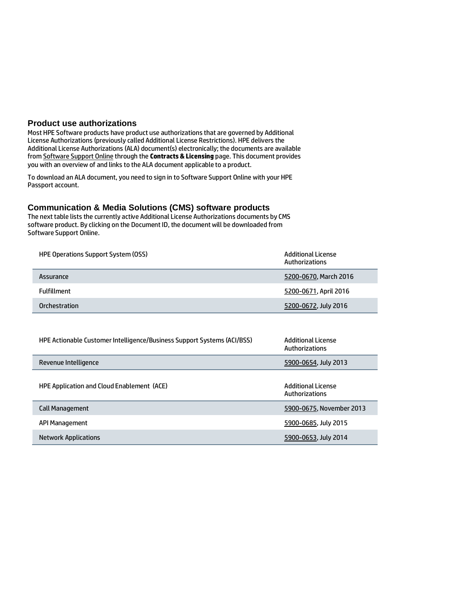## <span id="page-1-0"></span>**Product use authorizations**

Most HPE Software products have product use authorizations that are governed by Additional License Authorizations (previously called Additional License Restrictions). HPE delivers the Additional License Authorizations (ALA) document(s) electronically; the documents are available fro[m Software Support Online](http://www.hp.com/go/hpsoftwaresupport) through the **Contracts & Licensing** page. This document provides you with an overview of and links to the ALA document applicable to a product.

To download an ALA document, you need to sign in to Software Support Online with your HPE Passport account.

## <span id="page-1-1"></span>**Communication & Media Solutions (CMS) software products**

The next table lists the currently active Additional License Authorizations documents by CMS software product. By clicking on the Document ID, the document will be downloaded from Software Support Online.

| <b>HPE Operations Support System (OSS)</b> | Additional License<br>Authorizations |
|--------------------------------------------|--------------------------------------|
| Assurance                                  | 5200-0670, March 2016                |
| <b>Fulfillment</b>                         | 5200-0671, April 2016                |
| Orchestration                              | 5200-0672, July 2016                 |

| HPE Actionable Customer Intelligence/Business Support Systems (ACI/BSS) | Additional License<br>Authorizations |
|-------------------------------------------------------------------------|--------------------------------------|
| Revenue Intelligence                                                    | 5900-0654, July 2013                 |
| <b>HPE Application and Cloud Enablement (ACE)</b>                       | Additional License<br>Authorizations |
| Call Management                                                         | 5900-0675, November 2013             |
| API Management                                                          | 5900-0685, July 2015                 |
| <b>Network Applications</b>                                             | 5900-0653, July 2014                 |